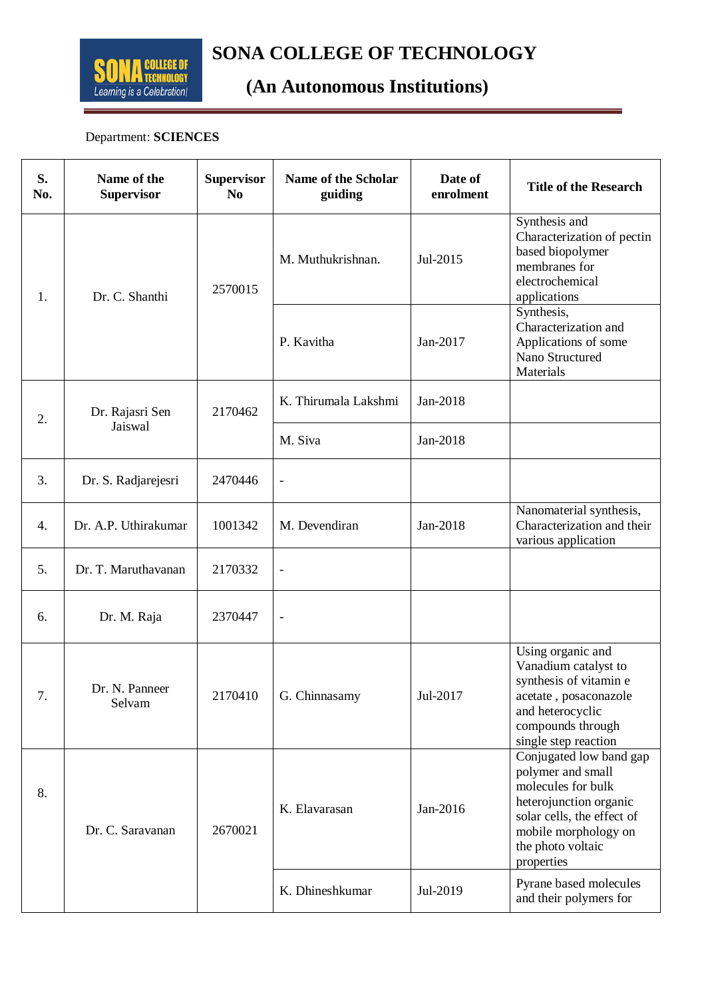

## **SONA COLLEGE OF TECHNOLOGY**<br> **ECHNOLOGY**<br> **CARL Anternative Section Conditional COLLEGE**

## **(An Autonomous Institutions)**

#### Department: **SCIENCES**

| S.<br>No. | Name of the<br><b>Supervisor</b> | <b>Supervisor</b><br>N <sub>0</sub> | Name of the Scholar<br>guiding | Date of<br>enrolment | <b>Title of the Research</b>                                                                                                                                                          |
|-----------|----------------------------------|-------------------------------------|--------------------------------|----------------------|---------------------------------------------------------------------------------------------------------------------------------------------------------------------------------------|
| 1.        | Dr. C. Shanthi                   | 2570015                             | M. Muthukrishnan.              | Jul-2015             | Synthesis and<br>Characterization of pectin<br>based biopolymer<br>membranes for<br>electrochemical<br>applications                                                                   |
|           |                                  |                                     | P. Kavitha                     | Jan-2017             | Synthesis,<br>Characterization and<br>Applications of some<br>Nano Structured<br>Materials                                                                                            |
| 2.        | Dr. Rajasri Sen<br>Jaiswal       | 2170462                             | K. Thirumala Lakshmi           | Jan-2018             |                                                                                                                                                                                       |
|           |                                  |                                     | M. Siva                        | Jan-2018             |                                                                                                                                                                                       |
| 3.        | Dr. S. Radjarejesri              | 2470446                             | $\overline{a}$                 |                      |                                                                                                                                                                                       |
| 4.        | Dr. A.P. Uthirakumar             | 1001342                             | M. Devendiran                  | Jan-2018             | Nanomaterial synthesis,<br>Characterization and their<br>various application                                                                                                          |
| 5.        | Dr. T. Maruthavanan              | 2170332                             | $\overline{\phantom{0}}$       |                      |                                                                                                                                                                                       |
| 6.        | Dr. M. Raja                      | 2370447                             | $\overline{\phantom{0}}$       |                      |                                                                                                                                                                                       |
| 7.        | Dr. N. Panneer<br>Selvam         | 2170410                             | G. Chinnasamy                  | Jul-2017             | Using organic and<br>Vanadium catalyst to<br>synthesis of vitamin e<br>acetate, posaconazole<br>and heterocyclic<br>compounds through<br>single step reaction                         |
| 8.        | Dr. C. Saravanan                 | 2670021                             | K. Elavarasan                  | Jan-2016             | Conjugated low band gap<br>polymer and small<br>molecules for bulk<br>heterojunction organic<br>solar cells, the effect of<br>mobile morphology on<br>the photo voltaic<br>properties |
|           |                                  |                                     | K. Dhineshkumar                | Jul-2019             | Pyrane based molecules<br>and their polymers for                                                                                                                                      |